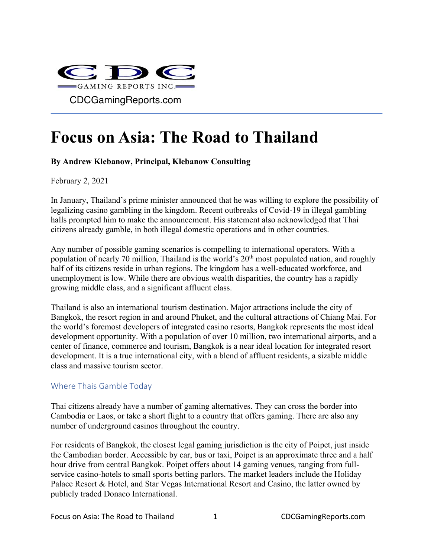

# **Focus on Asia: The Road to Thailand**

#### **By Andrew Klebanow, Principal, Klebanow Consulting**

February  $2, 2021$ 

In January, Thailand's prime minister announced that he was willing to explore the possibility of legalizing casino gambling in the kingdom. Recent outbreaks of Covid-19 in illegal gambling halls prompted him to make the announcement. His statement also acknowledged that Thai citizens already gamble, in both illegal domestic operations and in other countries.

Any number of possible gaming scenarios is compelling to international operators. With a population of nearly 70 million, Thailand is the world's 20th most populated nation, and roughly half of its citizens reside in urban regions. The kingdom has a well-educated workforce, and unemployment is low. While there are obvious wealth disparities, the country has a rapidly growing middle class, and a significant affluent class.

Thailand is also an international tourism destination. Major attractions include the city of Bangkok, the resort region in and around Phuket, and the cultural attractions of Chiang Mai. For the world's foremost developers of integrated casino resorts, Bangkok represents the most ideal development opportunity. With a population of over 10 million, two international airports, and a center of finance, commerce and tourism, Bangkok is a near ideal location for integrated resort development. It is a true international city, with a blend of affluent residents, a sizable middle class and massive tourism sector.

#### Where Thais Gamble Today

Thai citizens already have a number of gaming alternatives. They can cross the border into Cambodia or Laos, or take a short flight to a country that offers gaming. There are also any number of underground casinos throughout the country.

For residents of Bangkok, the closest legal gaming jurisdiction is the city of Poipet, just inside the Cambodian border. Accessible by car, bus or taxi, Poipet is an approximate three and a half hour drive from central Bangkok. Poipet offers about 14 gaming venues, ranging from fullservice casino-hotels to small sports betting parlors. The market leaders include the Holiday Palace Resort & Hotel, and Star Vegas International Resort and Casino, the latter owned by publicly traded Donaco International.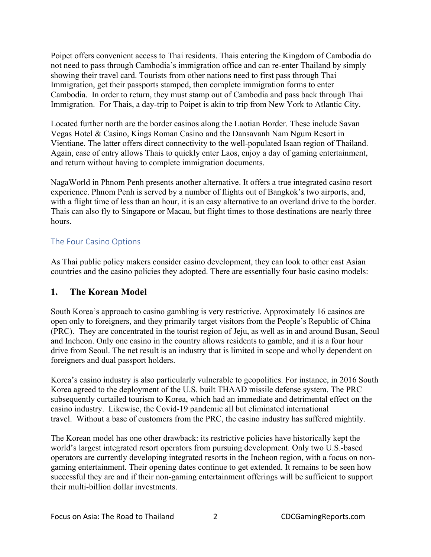Poipet offers convenient access to Thai residents. Thais entering the Kingdom of Cambodia do not need to pass through Cambodia's immigration office and can re-enter Thailand by simply showing their travel card. Tourists from other nations need to first pass through Thai Immigration, get their passports stamped, then complete immigration forms to enter Cambodia. In order to return, they must stamp out of Cambodia and pass back through Thai Immigration. For Thais, a day-trip to Poipet is akin to trip from New York to Atlantic City.

Located further north are the border casinos along the Laotian Border. These include Savan Vegas Hotel & Casino, Kings Roman Casino and the Dansavanh Nam Ngum Resort in Vientiane. The latter offers direct connectivity to the well-populated Isaan region of Thailand. Again, ease of entry allows Thais to quickly enter Laos, enjoy a day of gaming entertainment, and return without having to complete immigration documents.

NagaWorld in Phnom Penh presents another alternative. It offers a true integrated casino resort experience. Phnom Penh is served by a number of flights out of Bangkok's two airports, and, with a flight time of less than an hour, it is an easy alternative to an overland drive to the border. Thais can also fly to Singapore or Macau, but flight times to those destinations are nearly three hours.

## The Four Casino Options

As Thai public policy makers consider casino development, they can look to other east Asian countries and the casino policies they adopted. There are essentially four basic casino models:

# **1. The Korean Model**

South Korea's approach to casino gambling is very restrictive. Approximately 16 casinos are open only to foreigners, and they primarily target visitors from the People's Republic of China (PRC). They are concentrated in the tourist region of Jeju, as well as in and around Busan, Seoul and Incheon. Only one casino in the country allows residents to gamble, and it is a four hour drive from Seoul. The net result is an industry that is limited in scope and wholly dependent on foreigners and dual passport holders.

Korea's casino industry is also particularly vulnerable to geopolitics. For instance, in 2016 South Korea agreed to the deployment of the U.S. built THAAD missile defense system. The PRC subsequently curtailed tourism to Korea, which had an immediate and detrimental effect on the casino industry. Likewise, the Covid-19 pandemic all but eliminated international travel. Without a base of customers from the PRC, the casino industry has suffered mightily.

The Korean model has one other drawback: its restrictive policies have historically kept the world's largest integrated resort operators from pursuing development. Only two U.S.-based operators are currently developing integrated resorts in the Incheon region, with a focus on nongaming entertainment. Their opening dates continue to get extended. It remains to be seen how successful they are and if their non-gaming entertainment offerings will be sufficient to support their multi-billion dollar investments.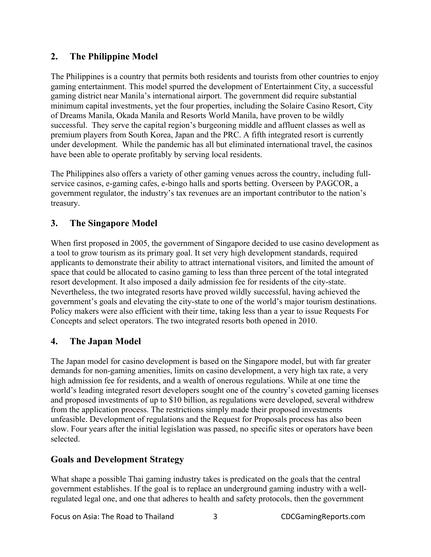# **2. The Philippine Model**

The Philippines is a country that permits both residents and tourists from other countries to enjoy gaming entertainment. This model spurred the development of Entertainment City, a successful gaming district near Manila's international airport. The government did require substantial minimum capital investments, yet the four properties, including the Solaire Casino Resort, City of Dreams Manila, Okada Manila and Resorts World Manila, have proven to be wildly successful. They serve the capital region's burgeoning middle and affluent classes as well as premium players from South Korea, Japan and the PRC. A fifth integrated resort is currently under development. While the pandemic has all but eliminated international travel, the casinos have been able to operate profitably by serving local residents.

The Philippines also offers a variety of other gaming venues across the country, including fullservice casinos, e-gaming cafes, e-bingo halls and sports betting. Overseen by PAGCOR, a government regulator, the industry's tax revenues are an important contributor to the nation's treasury.

# **3. The Singapore Model**

When first proposed in 2005, the government of Singapore decided to use casino development as a tool to grow tourism as its primary goal. It set very high development standards, required applicants to demonstrate their ability to attract international visitors, and limited the amount of space that could be allocated to casino gaming to less than three percent of the total integrated resort development. It also imposed a daily admission fee for residents of the city-state. Nevertheless, the two integrated resorts have proved wildly successful, having achieved the government's goals and elevating the city-state to one of the world's major tourism destinations. Policy makers were also efficient with their time, taking less than a year to issue Requests For Concepts and select operators. The two integrated resorts both opened in 2010.

## **4. The Japan Model**

The Japan model for casino development is based on the Singapore model, but with far greater demands for non-gaming amenities, limits on casino development, a very high tax rate, a very high admission fee for residents, and a wealth of onerous regulations. While at one time the world's leading integrated resort developers sought one of the country's coveted gaming licenses and proposed investments of up to \$10 billion, as regulations were developed, several withdrew from the application process. The restrictions simply made their proposed investments unfeasible. Development of regulations and the Request for Proposals process has also been slow. Four years after the initial legislation was passed, no specific sites or operators have been selected.

## **Goals and Development Strategy**

What shape a possible Thai gaming industry takes is predicated on the goals that the central government establishes. If the goal is to replace an underground gaming industry with a wellregulated legal one, and one that adheres to health and safety protocols, then the government